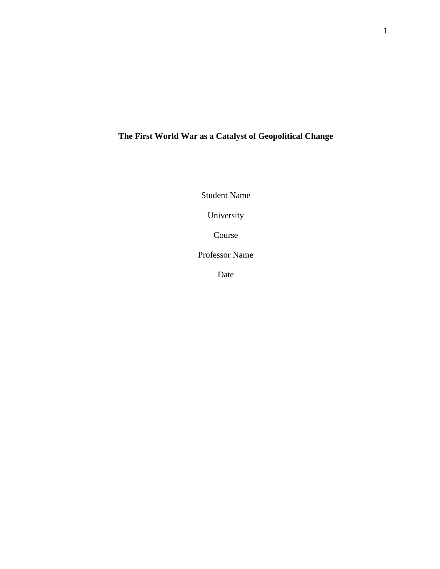## **The First World War as a Catalyst of Geopolitical Change**

Student Name

University

Course

Professor Name

Date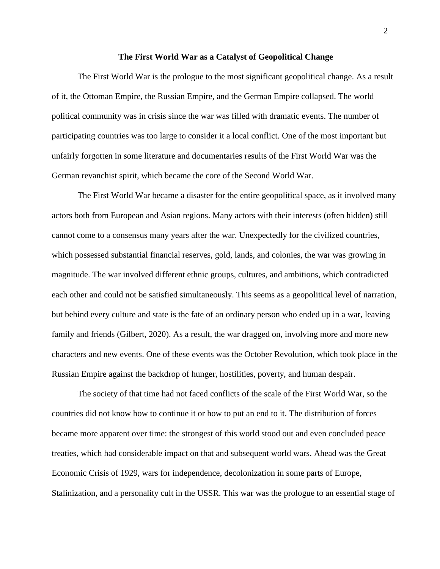## **The First World War as a Catalyst of Geopolitical Change**

The First World War is the prologue to the most significant geopolitical change. As a result of it, the Ottoman Empire, the Russian Empire, and the German Empire collapsed. The world political community was in crisis since the war was filled with dramatic events. The number of participating countries was too large to consider it a local conflict. One of the most important but unfairly forgotten in some literature and documentaries results of the First World War was the German revanchist spirit, which became the core of the Second World War.

The First World War became a disaster for the entire geopolitical space, as it involved many actors both from European and Asian regions. Many actors with their interests (often hidden) still cannot come to a consensus many years after the war. Unexpectedly for the civilized countries, which possessed substantial financial reserves, gold, lands, and colonies, the war was growing in magnitude. The war involved different ethnic groups, cultures, and ambitions, which contradicted each other and could not be satisfied simultaneously. This seems as a geopolitical level of narration, but behind every culture and state is the fate of an ordinary person who ended up in a war, leaving family and friends (Gilbert, 2020). As a result, the war dragged on, involving more and more new characters and new events. One of these events was the October Revolution, which took place in the Russian Empire against the backdrop of hunger, hostilities, poverty, and human despair.

The society of that time had not faced conflicts of the scale of the First World War, so the countries did not know how to continue it or how to put an end to it. The distribution of forces became more apparent over time: the strongest of this world stood out and even concluded peace treaties, which had considerable impact on that and subsequent world wars. Ahead was the Great Economic Crisis of 1929, wars for independence, decolonization in some parts of Europe, Stalinization, and a personality cult in the USSR. This war was the prologue to an essential stage of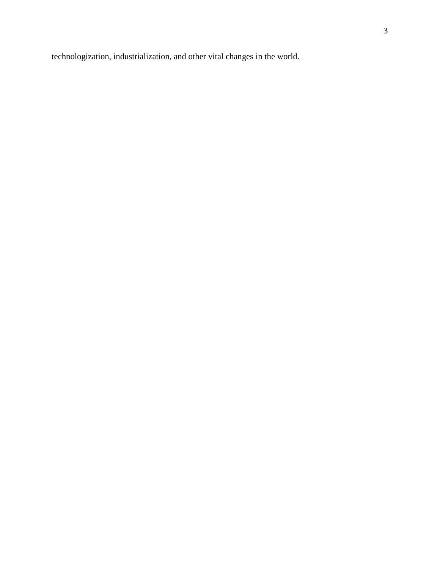technologization, industrialization, and other vital changes in the world.